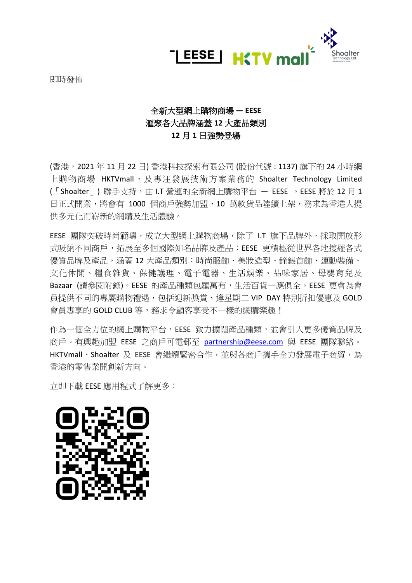

即時發佈

# 全新大型網上購物商場 **— EESE**  滙聚各大品牌涵蓋 **12** 大產品類別 **12** 月 **1** 日強勢登場

(香港,2021 年 11 月 22 日) 香港科技探索有限公司 (股份代號 : 1137) 旗下的 24 小時網 上購物商場 HKTVmall,及專注發展技術方案業務的 Shoalter Technology Limited (「Shoalter」) 聯手支持,由 I.T 營運的全新網上購物平台 - EESE · EESE 將於 12 月 1 日正式開業,將會有 1000 個商戶強勢加盟,10 萬款貨品陸續上架,務求為香港人提 供多元化而嶄新的網購及生活體驗。

EESE 團隊突破時尚範疇,成立大型網上購物商場,除了 LT 旗下品牌外,採取開放形 式吸納不同商戶,拓展至多個國際知名品牌及產品;EESE 更積極從世界各地搜羅各式 優質品牌及產品,涵蓋 12 大產品類別:時尚服飾、美妝造型、鐘錶首飾、運動裝備、 文化休閒、糧食雜貨、保健護理、電子電器、生活娛樂、品味家居、母嬰育兒及 Bazaar (請參閱附錄)。EESE 的產品種類包羅萬有,生活百貨一應俱全。EESE 更會為會 員提供不同的專屬購物禮遇,包括迎新獎賞、逢星期二 VIP DAY 特別折扣優惠及 GOLD 會員專享的 GOLD CLUB 等,務求今顧客享受不一樣的網購樂趣!

作為一個全方位的網上購物平台,EESE 致力擴闊產品種類,並會引入更多優質品牌及 商戶。有興趣加盟 EESE 之商戶可電郵至 [partnership@eese.com](mailto:partnership@eese.com) 與 EESE 團隊聯絡。 HKTVmall、Shoalter 及 EESE 會繼續緊密合作,並與各商戶攜手全力發展電子商貿,為 香港的零售業開創新方向。

立即下載 EESE 應用程式了解更多:

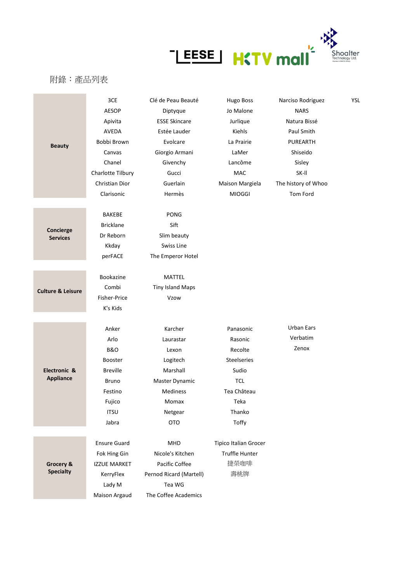

## 附錄:產品列表

|                               | 3CE                 | Clé de Peau Beauté      | <b>Hugo Boss</b>             | Narciso Rodriguez   | YSL |
|-------------------------------|---------------------|-------------------------|------------------------------|---------------------|-----|
|                               | <b>AESOP</b>        | Diptyque                | Jo Malone                    | <b>NARS</b>         |     |
|                               | Apivita             | <b>ESSE Skincare</b>    | Jurlique                     | Natura Bissé        |     |
|                               | AVEDA               | Estée Lauder            | Kiehls                       | Paul Smith          |     |
| <b>Beauty</b>                 | Bobbi Brown         | Evolcare                | La Prairie                   | <b>PUREARTH</b>     |     |
|                               | Canvas              | Giorgio Armani          | LaMer                        | Shiseido            |     |
|                               | Chanel              | Givenchy                | Lancôme                      | Sisley              |     |
|                               | Charlotte Tilbury   | Gucci                   | MAC                          | SK-II               |     |
|                               | Christian Dior      | Guerlain                | Maison Margiela              | The history of Whoo |     |
|                               | Clarisonic          | Hermès                  | <b>MIOGGI</b>                | Tom Ford            |     |
|                               |                     |                         |                              |                     |     |
|                               | <b>BAKEBE</b>       | PONG                    |                              |                     |     |
| Concierge                     | <b>Bricklane</b>    | Sift                    |                              |                     |     |
| <b>Services</b>               | Dr Reborn           | Slim beauty             |                              |                     |     |
|                               | Kkday               | Swiss Line              |                              |                     |     |
|                               | perFACE             | The Emperor Hotel       |                              |                     |     |
|                               |                     |                         |                              |                     |     |
|                               | Bookazine           | MATTEL                  |                              |                     |     |
| <b>Culture &amp; Leisure</b>  | Combi               | <b>Tiny Island Maps</b> |                              |                     |     |
|                               | Fisher-Price        | Vzow                    |                              |                     |     |
|                               | K's Kids            |                         |                              |                     |     |
|                               |                     |                         |                              |                     |     |
|                               | Anker               | Karcher                 | Panasonic                    | Urban Ears          |     |
|                               | Arlo                | Laurastar               | Rasonic                      | Verbatim            |     |
|                               | <b>B&amp;O</b>      | Lexon                   | Recolte                      | Zenox               |     |
|                               | <b>Booster</b>      | Logitech                | <b>Steelseries</b>           |                     |     |
| Electronic &                  | <b>Breville</b>     | Marshall                | Sudio                        |                     |     |
| <b>Appliance</b>              | <b>Bruno</b>        | Master Dynamic          | <b>TCL</b>                   |                     |     |
|                               | Festino             | <b>Mediness</b>         | Tea Château                  |                     |     |
|                               | Fujico              | Momax                   | Teka                         |                     |     |
|                               | <b>ITSU</b>         | Netgear                 | Thanko                       |                     |     |
|                               | Jabra               | <b>OTO</b>              | Toffy                        |                     |     |
|                               |                     |                         |                              |                     |     |
| Grocery &<br><b>Specialty</b> | <b>Ensure Guard</b> | MHD                     | <b>Tipico Italian Grocer</b> |                     |     |
|                               | Fok Hing Gin        | Nicole's Kitchen        | Truffle Hunter               |                     |     |
|                               | <b>IZZUE MARKET</b> | Pacific Coffee          | 捷榮咖啡                         |                     |     |
|                               | KerryFlex           | Pernod Ricard (Martell) | 壽桃牌                          |                     |     |
|                               | Lady M              | Tea WG                  |                              |                     |     |
|                               | Maison Argaud       | The Coffee Academics    |                              |                     |     |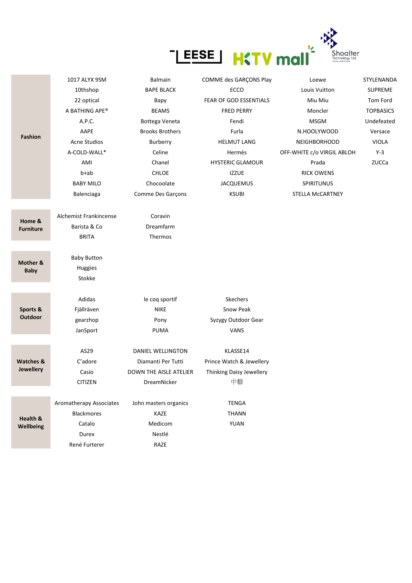

|                                   | 1017 ALYX 9SM           | <b>Balmain</b>         | COMME des GARÇONS Play   | Loewe                      | STYLENANDA       |
|-----------------------------------|-------------------------|------------------------|--------------------------|----------------------------|------------------|
|                                   | 10thshop                | <b>BAPE BLACK</b>      | ECCO                     | Louis Vuitton              | <b>SUPREME</b>   |
|                                   | 22 optical              | Bapy                   | FEAR OF GOD ESSENTIALS   | Miu Miu                    | Tom Ford         |
|                                   | A BATHING APE®          | <b>BEAMS</b>           | <b>FRED PERRY</b>        | Moncler                    | <b>TOPBASICS</b> |
|                                   | A.P.C.                  | Bottega Veneta         | Fendi                    | <b>MSGM</b>                | Undefeated       |
|                                   | AAPE                    | <b>Brooks Brothers</b> | Furla                    | N.HOOLYWOOD                | Versace          |
| <b>Fashion</b>                    | <b>Acne Studios</b>     | Burberry               | <b>HELMUT LANG</b>       | <b>NEIGHBORHOOD</b>        | <b>VIOLA</b>     |
|                                   | A-COLD-WALL*            | Celine                 | Hermès                   | OFF-WHITE c/o VIRGIL ABLOH | $Y-3$            |
|                                   | AMI                     | Chanel                 | <b>HYSTERIC GLAMOUR</b>  | Prada                      | ZUCCa            |
|                                   | b+ab                    | <b>CHLOE</b>           | <b>IZZUE</b>             | <b>RICK OWENS</b>          |                  |
|                                   | <b>BABY MILO</b>        | Chocoolate             | <b>JACQUEMUS</b>         | SPIRITUNUS                 |                  |
|                                   | Balenciaga              | Comme Des Garçons      | <b>KSUBI</b>             | STELLA McCARTNEY           |                  |
|                                   |                         |                        |                          |                            |                  |
| Home &                            | Alchemist Frankincense  | Coravin                |                          |                            |                  |
| <b>Furniture</b>                  | Barista & Co            | Dreamfarm              |                          |                            |                  |
|                                   | <b>BRITA</b>            | Thermos                |                          |                            |                  |
|                                   |                         |                        |                          |                            |                  |
| Mother &                          | <b>Baby Button</b>      |                        |                          |                            |                  |
| <b>Baby</b>                       | Huggies                 |                        |                          |                            |                  |
|                                   | Stokke                  |                        |                          |                            |                  |
|                                   | Adidas                  | le coq sportif         | Skechers                 |                            |                  |
| Sports &                          | Fjällräven              | <b>NIKE</b>            | Snow Peak                |                            |                  |
| <b>Outdoor</b>                    | gearzhop                | Pony                   | Syzygy Outdoor Gear      |                            |                  |
|                                   | JanSport                | <b>PUMA</b>            | <b>VANS</b>              |                            |                  |
|                                   |                         |                        |                          |                            |                  |
| <b>Watches &amp;</b><br>Jewellery | AS29                    | DANIEL WELLINGTON      | KLASSE14                 |                            |                  |
|                                   | C'adore                 | Diamanti Per Tutti     | Prince Watch & Jewellery |                            |                  |
|                                   | Casio                   | DOWN THE AISLE ATELIER | Thinking Daisy Jewellery |                            |                  |
|                                   | CITIZEN                 | <b>DreamNicker</b>     | 中藝                       |                            |                  |
|                                   |                         |                        |                          |                            |                  |
| Health &<br>Wellbeing             | Aromatherapy Associates | John masters organics  | <b>TENGA</b>             |                            |                  |
|                                   | Blackmores              | KAZE                   | <b>THANN</b>             |                            |                  |
|                                   | Catalo                  | Medicom                | YUAN                     |                            |                  |
|                                   | Durex                   | Nestlé                 |                          |                            |                  |
|                                   | René Furterer           | RAZE                   |                          |                            |                  |